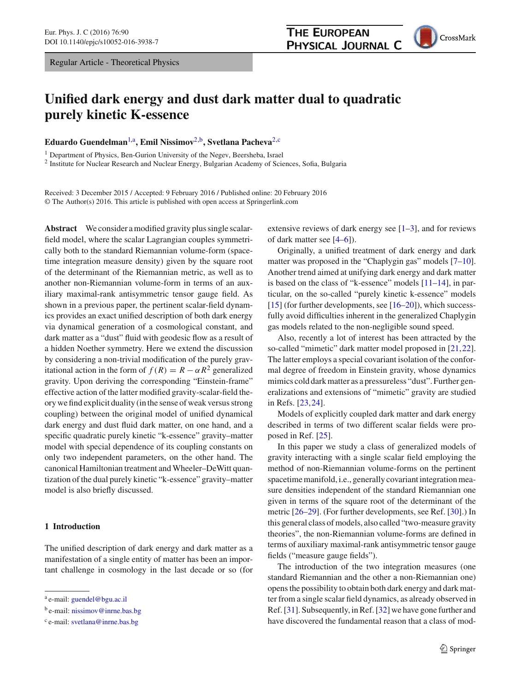Regular Article - Theoretical Physics

# **Unified dark energy and dust dark matter dual to quadratic purely kinetic K-essence**

**Eduardo Guendelman**[1,](#page-0-0)a**, Emil Nissimov**[2,](#page-0-0)b**, Svetlana Pacheva**[2,](#page-0-0)c

<sup>1</sup> Department of Physics, Ben-Gurion University of the Negev, Beersheba, Israel

<sup>2</sup> Institute for Nuclear Research and Nuclear Energy, Bulgarian Academy of Sciences, Sofia, Bulgaria

Received: 3 December 2015 / Accepted: 9 February 2016 / Published online: 20 February 2016 © The Author(s) 2016. This article is published with open access at Springerlink.com

**Abstract** We consider a modified gravity plus single scalarfield model, where the scalar Lagrangian couples symmetrically both to the standard Riemannian volume-form (spacetime integration measure density) given by the square root of the determinant of the Riemannian metric, as well as to another non-Riemannian volume-form in terms of an auxiliary maximal-rank antisymmetric tensor gauge field. As shown in a previous paper, the pertinent scalar-field dynamics provides an exact unified description of both dark energy via dynamical generation of a cosmological constant, and dark matter as a "dust" fluid with geodesic flow as a result of a hidden Noether symmetry. Here we extend the discussion by considering a non-trivial modification of the purely gravitational action in the form of  $f(R) = R - \alpha R^2$  generalized gravity. Upon deriving the corresponding "Einstein-frame" effective action of the latter modified gravity-scalar-field theory we find explicit duality (in the sense of weak versus strong coupling) between the original model of unified dynamical dark energy and dust fluid dark matter, on one hand, and a specific quadratic purely kinetic "k-essence" gravity–matter model with special dependence of its coupling constants on only two independent parameters, on the other hand. The canonical Hamiltonian treatment and Wheeler–DeWitt quantization of the dual purely kinetic "k-essence" gravity–matter model is also briefly discussed.

## **1 Introduction**

The unified description of dark energy and dark matter as a manifestation of a single entity of matter has been an important challenge in cosmology in the last decade or so (for <span id="page-0-0"></span>extensive reviews of dark energy see  $[1-3]$  $[1-3]$ , and for reviews of dark matter see [\[4](#page-10-2)[–6\]](#page-10-3)).

Originally, a unified treatment of dark energy and dark matter was proposed in the "Chaplygin gas" models [\[7](#page-10-4)[–10](#page-10-5)]. Another trend aimed at unifying dark energy and dark matter is based on the class of "k-essence" models [\[11](#page-10-6)[–14\]](#page-10-7), in particular, on the so-called "purely kinetic k-essence" models [\[15](#page-10-8)] (for further developments, see [\[16](#page-10-9)[–20](#page-10-10)]), which successfully avoid difficulties inherent in the generalized Chaplygin gas models related to the non-negligible sound speed.

Also, recently a lot of interest has been attracted by the so-called "mimetic" dark matter model proposed in [\[21](#page-10-11)[,22](#page-10-12)]. The latter employs a special covariant isolation of the conformal degree of freedom in Einstein gravity, whose dynamics mimics cold dark matter as a pressureless "dust". Further generalizations and extensions of "mimetic" gravity are studied in Refs. [\[23](#page-10-13)[,24](#page-10-14)].

Models of explicitly coupled dark matter and dark energy described in terms of two different scalar fields were proposed in Ref. [\[25\]](#page-10-15).

In this paper we study a class of generalized models of gravity interacting with a single scalar field employing the method of non-Riemannian volume-forms on the pertinent spacetime manifold, i.e., generally covariant integration measure densities independent of the standard Riemannian one given in terms of the square root of the determinant of the metric [\[26](#page-10-16)[–29\]](#page-11-0). (For further developments, see Ref. [\[30\]](#page-11-1).) In this general class of models, also called "two-measure gravity theories", the non-Riemannian volume-forms are defined in terms of auxiliary maximal-rank antisymmetric tensor gauge fields ("measure gauge fields").

The introduction of the two integration measures (one standard Riemannian and the other a non-Riemannian one) opens the possibility to obtain both dark energy and dark matter from a single scalar field dynamics, as already observed in Ref. [\[31\]](#page-11-2). Subsequently, in Ref. [\[32\]](#page-11-3) we have gone further and have discovered the fundamental reason that a class of mod-

a e-mail: [guendel@bgu.ac.il](mailto:guendel@bgu.ac.il)

<sup>b</sup> e-mail: [nissimov@inrne.bas.bg](mailto:nissimov@inrne.bas.bg)

<sup>c</sup> e-mail: [svetlana@inrne.bas.bg](mailto:svetlana@inrne.bas.bg)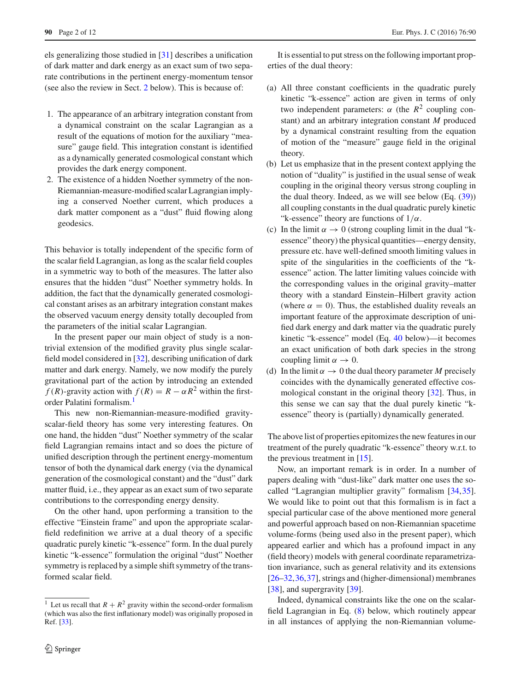els generalizing those studied in [\[31](#page-11-2)] describes a unification of dark matter and dark energy as an exact sum of two separate contributions in the pertinent energy-momentum tensor (see also the review in Sect. [2](#page-2-0) below). This is because of:

- 1. The appearance of an arbitrary integration constant from a dynamical constraint on the scalar Lagrangian as a result of the equations of motion for the auxiliary "measure" gauge field. This integration constant is identified as a dynamically generated cosmological constant which provides the dark energy component.
- 2. The existence of a hidden Noether symmetry of the non-Riemannian-measure-modified scalar Lagrangian implying a conserved Noether current, which produces a dark matter component as a "dust" fluid flowing along geodesics.

This behavior is totally independent of the specific form of the scalar field Lagrangian, as long as the scalar field couples in a symmetric way to both of the measures. The latter also ensures that the hidden "dust" Noether symmetry holds. In addition, the fact that the dynamically generated cosmological constant arises as an arbitrary integration constant makes the observed vacuum energy density totally decoupled from the parameters of the initial scalar Lagrangian.

In the present paper our main object of study is a nontrivial extension of the modified gravity plus single scalarfield model considered in [\[32\]](#page-11-3), describing unification of dark matter and dark energy. Namely, we now modify the purely gravitational part of the action by introducing an extended *f* (*R*)-gravity action with  $f(R) = R - \alpha R^2$  within the firstorder Palatini formalism.[1](#page-1-0)

This new non-Riemannian-measure-modified gravityscalar-field theory has some very interesting features. On one hand, the hidden "dust" Noether symmetry of the scalar field Lagrangian remains intact and so does the picture of unified description through the pertinent energy-momentum tensor of both the dynamical dark energy (via the dynamical generation of the cosmological constant) and the "dust" dark matter fluid, i.e., they appear as an exact sum of two separate contributions to the corresponding energy density.

On the other hand, upon performing a transition to the effective "Einstein frame" and upon the appropriate scalarfield redefinition we arrive at a dual theory of a specific quadratic purely kinetic "k-essence" form. In the dual purely kinetic "k-essence" formulation the original "dust" Noether symmetry is replaced by a simple shift symmetry of the transformed scalar field.

It is essential to put stress on the following important properties of the dual theory:

- (a) All three constant coefficients in the quadratic purely kinetic "k-essence" action are given in terms of only two independent parameters:  $\alpha$  (the  $R^2$  coupling constant) and an arbitrary integration constant *M* produced by a dynamical constraint resulting from the equation of motion of the "measure" gauge field in the original theory.
- (b) Let us emphasize that in the present context applying the notion of "duality" is justified in the usual sense of weak coupling in the original theory versus strong coupling in the dual theory. Indeed, as we will see below  $(Eq. (39))$  $(Eq. (39))$  $(Eq. (39))$ all coupling constants in the dual quadratic purely kinetic "k-essence" theory are functions of  $1/\alpha$ .
- (c) In the limit  $\alpha \to 0$  (strong coupling limit in the dual "kessence" theory) the physical quantities—energy density, pressure etc. have well-defined smooth limiting values in spite of the singularities in the coefficients of the "kessence" action. The latter limiting values coincide with the corresponding values in the original gravity–matter theory with a standard Einstein–Hilbert gravity action (where  $\alpha = 0$ ). Thus, the established duality reveals an important feature of the approximate description of unified dark energy and dark matter via the quadratic purely kinetic "k-essence" model (Eq. [40](#page-5-1) below)—it becomes an exact unification of both dark species in the strong coupling limit  $\alpha \rightarrow 0$ .
- (d) In the limit  $\alpha \to 0$  the dual theory parameter M precisely coincides with the dynamically generated effective cosmological constant in the original theory [\[32](#page-11-3)]. Thus, in this sense we can say that the dual purely kinetic "kessence" theory is (partially) dynamically generated.

The above list of properties epitomizes the new features in our treatment of the purely quadratic "k-essence" theory w.r.t. to the previous treatment in [\[15](#page-10-8)].

Now, an important remark is in order. In a number of papers dealing with "dust-like" dark matter one uses the socalled "Lagrangian multiplier gravity" formalism [\[34](#page-11-5)[,35](#page-11-6)]. We would like to point out that this formalism is in fact a special particular case of the above mentioned more general and powerful approach based on non-Riemannian spacetime volume-forms (being used also in the present paper), which appeared earlier and which has a profound impact in any (field theory) models with general coordinate reparametrization invariance, such as general relativity and its extensions [\[26](#page-10-16)[–32](#page-11-3),[36,](#page-11-7)[37\]](#page-11-8), strings and (higher-dimensional) membranes [\[38](#page-11-9)], and supergravity [\[39\]](#page-11-10).

Indeed, dynamical constraints like the one on the scalarfield Lagrangian in Eq. [\(8\)](#page-3-0) below, which routinely appear in all instances of applying the non-Riemannian volume-

<span id="page-1-0"></span><sup>&</sup>lt;sup>1</sup> Let us recall that  $R + R^2$  gravity within the second-order formalism (which was also the first inflationary model) was originally proposed in Ref. [\[33\]](#page-11-4).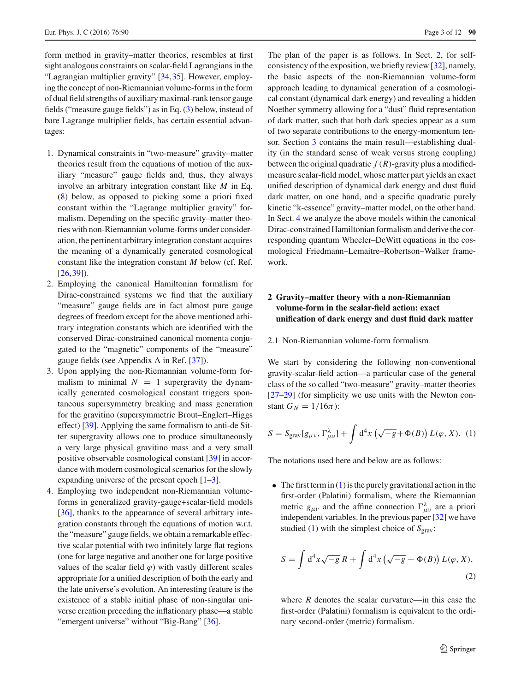form method in gravity–matter theories, resembles at first sight analogous constraints on scalar-field Lagrangians in the "Lagrangian multiplier gravity" [\[34](#page-11-5)[,35](#page-11-6)]. However, employing the concept of non-Riemannian volume-forms in the form of dual field strengths of auxiliary maximal-rank tensor gauge fields ("measure gauge fields") as in Eq. [\(3\)](#page-3-1) below, instead of bare Lagrange multiplier fields, has certain essential advantages:

- 1. Dynamical constraints in "two-measure" gravity–matter theories result from the equations of motion of the auxiliary "measure" gauge fields and, thus, they always involve an arbitrary integration constant like *M* in Eq. [\(8\)](#page-3-0) below, as opposed to picking some a priori fixed constant within the "Lagrange multiplier gravity" formalism. Depending on the specific gravity–matter theories with non-Riemannian volume-forms under consideration, the pertinent arbitrary integration constant acquires the meaning of a dynamically generated cosmological constant like the integration constant *M* below (cf. Ref.  $[26,39]$  $[26,39]$  $[26,39]$  $[26,39]$ ).
- 2. Employing the canonical Hamiltonian formalism for Dirac-constrained systems we find that the auxiliary "measure" gauge fields are in fact almost pure gauge degrees of freedom except for the above mentioned arbitrary integration constants which are identified with the conserved Dirac-constrained canonical momenta conjugated to the "magnetic" components of the "measure" gauge fields (see Appendix A in Ref. [\[37](#page-11-8)]).
- 3. Upon applying the non-Riemannian volume-form formalism to minimal  $N = 1$  supergravity the dynamically generated cosmological constant triggers spontaneous supersymmetry breaking and mass generation for the gravitino (supersymmetric Brout–Englert–Higgs effect) [\[39](#page-11-10)]. Applying the same formalism to anti-de Sitter supergravity allows one to produce simultaneously a very large physical gravitino mass and a very small positive observable cosmological constant [\[39\]](#page-11-10) in accordance with modern cosmological scenarios for the slowly expanding universe of the present epoch [\[1](#page-10-0)[–3\]](#page-10-1).
- 4. Employing two independent non-Riemannian volumeforms in generalized gravity-gauge+scalar-field models [\[36](#page-11-7)], thanks to the appearance of several arbitrary integration constants through the equations of motion w.r.t. the "measure" gauge fields, we obtain a remarkable effective scalar potential with two infinitely large flat regions (one for large negative and another one for large positive values of the scalar field  $\varphi$ ) with vastly different scales appropriate for a unified description of both the early and the late universe's evolution. An interesting feature is the existence of a stable initial phase of non-singular universe creation preceding the inflationary phase—a stable "emergent universe" without "Big-Bang" [\[36](#page-11-7)].

The plan of the paper is as follows. In Sect. [2,](#page-2-0) for selfconsistency of the exposition, we briefly review [\[32\]](#page-11-3), namely, the basic aspects of the non-Riemannian volume-form approach leading to dynamical generation of a cosmological constant (dynamical dark energy) and revealing a hidden Noether symmetry allowing for a "dust" fluid representation of dark matter, such that both dark species appear as a sum of two separate contributions to the energy-momentum tensor. Section [3](#page-4-0) contains the main result—establishing duality (in the standard sense of weak versus strong coupling) between the original quadratic  $f(R)$ -gravity plus a modifiedmeasure scalar-field model, whose matter part yields an exact unified description of dynamical dark energy and dust fluid dark matter, on one hand, and a specific quadratic purely kinetic "k-essence" gravity–matter model, on the other hand. In Sect. [4](#page-8-0) we analyze the above models within the canonical Dirac-constrained Hamiltonian formalism and derive the corresponding quantum Wheeler–DeWitt equations in the cosmological Friedmann–Lemaitre–Robertson–Walker framework.

# <span id="page-2-0"></span>**2 Gravity–matter theory with a non-Riemannian volume-form in the scalar-field action: exact unification of dark energy and dust fluid dark matter**

#### 2.1 Non-Riemannian volume-form formalism

We start by considering the following non-conventional gravity-scalar-field action—a particular case of the general class of the so called "two-measure" gravity–matter theories [\[27](#page-11-11)[–29](#page-11-0)] (for simplicity we use units with the Newton constant  $G_N = 1/16\pi$ :

<span id="page-2-1"></span>
$$
S = S_{\text{grav}}[g_{\mu\nu}, \Gamma^{\lambda}_{\mu\nu}] + \int d^4x \left(\sqrt{-g} + \Phi(B)\right) L(\varphi, X). (1)
$$

The notations used here and below are as follows:

• The first term in  $(1)$  is the purely gravitational action in the first-order (Palatini) formalism, where the Riemannian metric  $g_{\mu\nu}$  and the affine connection  $\Gamma^{\lambda}_{\mu\nu}$  are a priori independent variables. In the previous paper [\[32\]](#page-11-3) we have studied [\(1\)](#page-2-1) with the simplest choice of  $S_{grav}$ :

<span id="page-2-2"></span>
$$
S = \int d^4x \sqrt{-g} R + \int d^4x \left(\sqrt{-g} + \Phi(B)\right) L(\varphi, X),\tag{2}
$$

where  *denotes the scalar curvature—in this case the* first-order (Palatini) formalism is equivalent to the ordinary second-order (metric) formalism.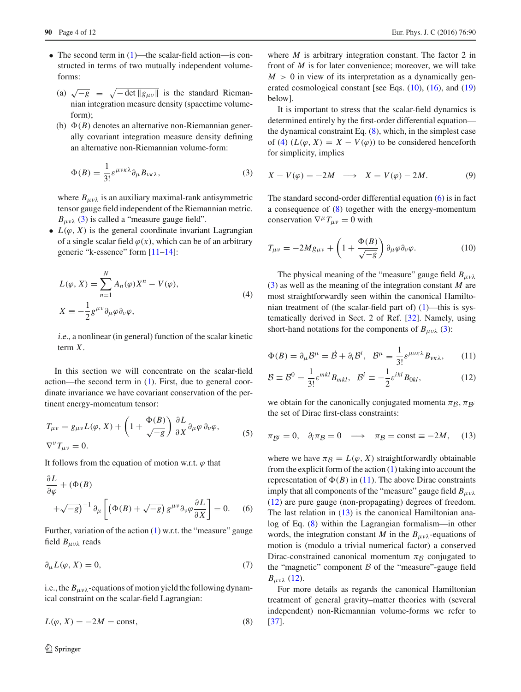- The second term in [\(1\)](#page-2-1)—the scalar-field action—is constructed in terms of two mutually independent volumeforms:
	- (a)  $\sqrt{-g} \equiv \sqrt{-\det \|g_{\mu\nu}\|}$  is the standard Riemannian integration measure density (spacetime volumeform);
	- (b)  $\Phi(B)$  denotes an alternative non-Riemannian generally covariant integration measure density defining an alternative non-Riemannian volume-form:

$$
\Phi(B) = \frac{1}{3!} \varepsilon^{\mu \nu \kappa \lambda} \partial_{\mu} B_{\nu \kappa \lambda},\tag{3}
$$

where  $B_{\mu\nu\lambda}$  is an auxiliary maximal-rank antisymmetric tensor gauge field independent of the Riemannian metric.  $B_{\mu\nu\lambda}$  [\(3\)](#page-3-1) is called a "measure gauge field".

•  $L(\varphi, X)$  is the general coordinate invariant Lagrangian of a single scalar field  $\varphi(x)$ , which can be of an arbitrary generic "k-essence" form [\[11](#page-10-6)[–14\]](#page-10-7):

<span id="page-3-3"></span>
$$
L(\varphi, X) = \sum_{n=1}^{N} A_n(\varphi) X^n - V(\varphi),
$$
  

$$
X \equiv -\frac{1}{2} g^{\mu \nu} \partial_{\mu} \varphi \partial_{\nu} \varphi,
$$
 (4)

i.e., a nonlinear (in general) function of the scalar kinetic term *X*.

In this section we will concentrate on the scalar-field action—the second term in [\(1\)](#page-2-1). First, due to general coordinate invariance we have covariant conservation of the pertinent energy-momentum tensor:

<span id="page-3-8"></span>
$$
T_{\mu\nu} = g_{\mu\nu}L(\varphi, X) + \left(1 + \frac{\Phi(B)}{\sqrt{-g}}\right) \frac{\partial L}{\partial X} \partial_{\mu}\varphi \, \partial_{\nu}\varphi,
$$
  
\n
$$
\nabla^{\nu}T_{\mu\nu} = 0.
$$
 (5)

It follows from the equation of motion w.r.t.  $\varphi$  that

<span id="page-3-4"></span>
$$
\frac{\partial L}{\partial \varphi} + (\Phi(B) + \sqrt{-g})^{-1} \partial_{\mu} \left[ \left( \Phi(B) + \sqrt{-g} \right) g^{\mu \nu} \partial_{\nu} \varphi \frac{\partial L}{\partial X} \right] = 0. \quad (6)
$$

Further, variation of the action  $(1)$  w.r.t. the "measure" gauge field  $B_{\mu\nu\lambda}$  reads

$$
\partial_{\mu}L(\varphi, X) = 0,\tag{7}
$$

i.e., the  $B_{\mu\nu\lambda}$ -equations of motion yield the following dynamical constraint on the scalar-field Lagrangian:

$$
L(\varphi, X) = -2M = \text{const},\tag{8}
$$

where *M* is arbitrary integration constant. The factor 2 in front of *M* is for later convenience; moreover, we will take  $M > 0$  in view of its interpretation as a dynamically generated cosmological constant [see Eqs.  $(10)$ ,  $(16)$ , and  $(19)$ below].

It is important to stress that the scalar-field dynamics is determined entirely by the first-order differential equation the dynamical constraint Eq. [\(8\)](#page-3-0), which, in the simplest case of [\(4\)](#page-3-3)  $(L(\varphi, X) = X - V(\varphi))$  to be considered henceforth for simplicity, implies

<span id="page-3-9"></span><span id="page-3-1"></span>
$$
X - V(\varphi) = -2M \quad \longrightarrow \quad X = V(\varphi) - 2M. \tag{9}
$$

The standard second-order differential equation  $(6)$  is in fact a consequence of [\(8\)](#page-3-0) together with the energy-momentum conservation  $\nabla^{\mu}T_{\mu\nu} = 0$  with

<span id="page-3-2"></span>
$$
T_{\mu\nu} = -2Mg_{\mu\nu} + \left(1 + \frac{\Phi(B)}{\sqrt{-g}}\right)\partial_{\mu}\varphi\partial_{\nu}\varphi.
$$
 (10)

The physical meaning of the "measure" gauge field  $B_{\mu\nu\lambda}$ [\(3\)](#page-3-1) as well as the meaning of the integration constant *M* are most straightforwardly seen within the canonical Hamiltonian treatment of (the scalar-field part of) [\(1\)](#page-2-1)—this is systematically derived in Sect. 2 of Ref. [\[32](#page-11-3)]. Namely, using short-hand notations for the components of  $B_{\mu\nu\lambda}$  [\(3\)](#page-3-1):

<span id="page-3-5"></span>
$$
\Phi(B) = \partial_{\mu} \mathcal{B}^{\mu} = \dot{\mathcal{B}} + \partial_{i} \mathcal{B}^{i}, \quad \mathcal{B}^{\mu} \equiv \frac{1}{3!} \varepsilon^{\mu \nu \kappa \lambda} B_{\nu \kappa \lambda}, \tag{11}
$$

<span id="page-3-6"></span>
$$
\mathcal{B} \equiv \mathcal{B}^0 = \frac{1}{3!} \varepsilon^{mkl} B_{mkl}, \quad \mathcal{B}^i \equiv -\frac{1}{2} \varepsilon^{ikl} B_{0kl}, \tag{12}
$$

<span id="page-3-7"></span>we obtain for the canonically conjugated momenta  $\pi_B$ ,  $\pi_{\beta}$ *i* the set of Dirac first-class constraints:

$$
\pi_{\mathcal{B}^i} = 0, \quad \partial_i \pi_{\mathcal{B}} = 0 \quad \longrightarrow \quad \pi_{\mathcal{B}} = \text{const} \equiv -2M, \quad (13)
$$

where we have  $\pi_B = L(\varphi, X)$  straightforwardly obtainable from the explicit form of the action  $(1)$  taking into account the representation of  $\Phi(B)$  in [\(11\)](#page-3-5). The above Dirac constraints imply that all components of the "measure" gauge field  $B_{\mu\nu\lambda}$ [\(12\)](#page-3-6) are pure gauge (non-propagating) degrees of freedom. The last relation in  $(13)$  is the canonical Hamiltonian analog of Eq. [\(8\)](#page-3-0) within the Lagrangian formalism—in other words, the integration constant *M* in the  $B_{\mu\nu\lambda}$ -equations of motion is (modulo a trivial numerical factor) a conserved Dirac-constrained canonical momentum  $\pi_B$  conjugated to the "magnetic" component *B* of the "measure"-gauge field *B<sub>μνλ</sub>* [\(12\)](#page-3-6).

<span id="page-3-0"></span>For more details as regards the canonical Hamiltonian treatment of general gravity–matter theories with (several independent) non-Riemannian volume-forms we refer to [\[37](#page-11-8)].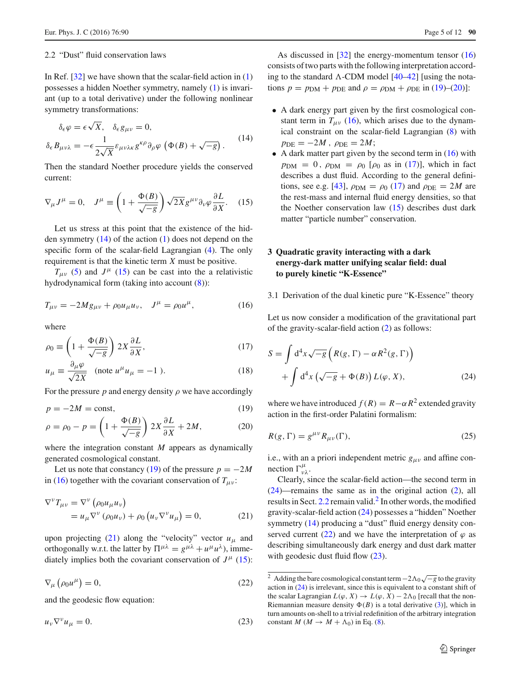#### <span id="page-4-8"></span>2.2 "Dust" fluid conservation laws

In Ref.  $[32]$  $[32]$  we have shown that the scalar-field action in  $(1)$ possesses a hidden Noether symmetry, namely [\(1\)](#page-2-1) is invariant (up to a total derivative) under the following nonlinear symmetry transformations:

<span id="page-4-3"></span>
$$
\delta_{\epsilon}\varphi = \epsilon\sqrt{X}, \quad \delta_{\epsilon}g_{\mu\nu} = 0,
$$
  

$$
\delta_{\epsilon}B_{\mu\nu\lambda} = -\epsilon \frac{1}{2\sqrt{X}} \varepsilon_{\mu\nu\lambda\kappa} g^{\kappa\rho}\partial_{\rho}\varphi \left(\Phi(B) + \sqrt{-g}\right).
$$
 (14)

<span id="page-4-4"></span>Then the standard Noether procedure yields the conserved current:

$$
\nabla_{\mu} J^{\mu} = 0, \quad J^{\mu} \equiv \left( 1 + \frac{\Phi(B)}{\sqrt{-g}} \right) \sqrt{2X} g^{\mu \nu} \partial_{\nu} \varphi \frac{\partial L}{\partial X}. \quad (15)
$$

Let us stress at this point that the existence of the hidden symmetry [\(14\)](#page-4-3) of the action [\(1\)](#page-2-1) does not depend on the specific form of the scalar-field Lagrangian [\(4\)](#page-3-3). The only requirement is that the kinetic term *X* must be positive.

 $T_{\mu\nu}$  [\(5\)](#page-3-8) and  $J^{\mu}$  [\(15\)](#page-4-4) can be cast into the a relativistic hydrodynamical form (taking into account [\(8\)](#page-3-0)):

$$
T_{\mu\nu} = -2Mg_{\mu\nu} + \rho_0 u_{\mu} u_{\nu}, \quad J^{\mu} = \rho_0 u^{\mu}, \tag{16}
$$

where

<span id="page-4-6"></span>
$$
\rho_0 \equiv \left(1 + \frac{\Phi(B)}{\sqrt{-g}}\right) 2X \frac{\partial L}{\partial X},\tag{17}
$$

$$
u_{\mu} \equiv \frac{\partial_{\mu}\varphi}{\sqrt{2X}} \quad \text{(note } u^{\mu}u_{\mu} = -1 \text{ ).} \tag{18}
$$

For the pressure  $p$  and energy density  $\rho$  we have accordingly

<span id="page-4-2"></span>
$$
p = -2M = \text{const},\tag{19}
$$

$$
\rho = \rho_0 - p = \left(1 + \frac{\Phi(B)}{\sqrt{-g}}\right) 2X \frac{\partial L}{\partial X} + 2M,\tag{20}
$$

where the integration constant *M* appears as dynamically generated cosmological constant.

Let us note that constancy [\(19\)](#page-4-2) of the pressure  $p = -2M$ in [\(16\)](#page-4-1) together with the covariant conservation of  $T_{\mu\nu}$ :

$$
\nabla^{\nu} T_{\mu\nu} = \nabla^{\nu} \left( \rho_0 u_{\mu} u_{\nu} \right)
$$
  
=  $u_{\mu} \nabla^{\nu} \left( \rho_0 u_{\nu} \right) + \rho_0 \left( u_{\nu} \nabla^{\nu} u_{\mu} \right) = 0,$  (21)

upon projecting [\(21\)](#page-4-5) along the "velocity" vector  $u_{\mu}$  and orthogonally w.r.t. the latter by  $\Pi^{\mu\lambda} = g^{\mu\lambda} + u^{\mu}u^{\lambda}$ ), immediately implies both the covariant conservation of  $J^{\mu}$  [\(15\)](#page-4-4):

<span id="page-4-10"></span>
$$
\nabla_{\mu} \left( \rho_0 u^{\mu} \right) = 0, \tag{22}
$$

<span id="page-4-11"></span>and the geodesic flow equation:

$$
u_v \nabla^v u_\mu = 0. \tag{23}
$$

As discussed in  $\lceil 32 \rceil$  the energy-momentum tensor  $(16)$ consists of two parts with the following interpretation according to the standard  $\Lambda$ -CDM model [\[40](#page-11-12)[–42](#page-11-13)] [using the notations  $p = p_{DM} + p_{DE}$  and  $\rho = \rho_{DM} + \rho_{DE}$  in [\(19\)](#page-4-2)–[\(20\)](#page-4-2)]:

- A dark energy part given by the first cosmological constant term in  $T_{\mu\nu}$  [\(16\)](#page-4-1), which arises due to the dynamical constraint on the scalar-field Lagrangian [\(8\)](#page-3-0) with  $p_{\text{DE}} = -2M$ ,  $\rho_{\text{DE}} = 2M$ ;
- A dark matter part given by the second term in  $(16)$  with  $p_{DM} = 0$ ,  $\rho_{DM} = \rho_0$  [ $\rho_0$  as in [\(17\)](#page-4-6)], which in fact describes a dust fluid. According to the general defini-tions, see e.g. [\[43](#page-11-14)],  $\rho_{DM} = \rho_0$  [\(17\)](#page-4-6) and  $\rho_{DE} = 2M$  are the rest-mass and internal fluid energy densities, so that the Noether conservation law [\(15\)](#page-4-4) describes dust dark matter "particle number" conservation.

## <span id="page-4-0"></span>**3 Quadratic gravity interacting with a dark energy-dark matter unifying scalar field: dual to purely kinetic "K-Essence"**

## <span id="page-4-1"></span>3.1 Derivation of the dual kinetic pure "K-Essence" theory

Let us now consider a modification of the gravitational part of the gravity-scalar-field action [\(2\)](#page-2-2) as follows:

<span id="page-4-7"></span>
$$
S = \int d^4x \sqrt{-g} \left( R(g, \Gamma) - \alpha R^2(g, \Gamma) \right)
$$

$$
+ \int d^4x \left( \sqrt{-g} + \Phi(B) \right) L(\varphi, X), \tag{24}
$$

where we have introduced  $f(R) = R - \alpha R^2$  extended gravity action in the first-order Palatini formalism:

$$
R(g,\Gamma) = g^{\mu\nu} R_{\mu\nu}(\Gamma),\tag{25}
$$

i.e., with an a priori independent metric  $g_{\mu\nu}$  and affine connection  $\Gamma^{\mu}_{\nu\lambda}$ .

<span id="page-4-5"></span>Clearly, since the scalar-field action—the second term in [\(24\)](#page-4-7)—remains the same as in the original action [\(2\)](#page-2-2), all results in Sect. [2.2](#page-4-8) remain valid.<sup>2</sup> In other words, the modified gravity-scalar-field action [\(24\)](#page-4-7) possesses a "hidden" Noether symmetry [\(14\)](#page-4-3) producing a "dust" fluid energy density con-served current [\(22\)](#page-4-10) and we have the interpretation of  $\varphi$  as describing simultaneously dark energy and dust dark matter with geodesic dust fluid flow  $(23)$ .

<span id="page-4-9"></span><sup>2</sup> Adding the bare cosmological constant term−2<sup>0</sup> √−*<sup>g</sup>* to the gravity action in [\(24\)](#page-4-7) is irrelevant, since this is equivalent to a constant shift of the scalar Lagrangian  $L(\varphi, X) \to L(\varphi, X) - 2\Lambda_0$  [recall that the non-Riemannian measure density  $\Phi(B)$  is a total derivative [\(3\)](#page-3-1)], which in turn amounts on-shell to a trivial redefinition of the arbitrary integration constant *M* ( $M \rightarrow M + \Lambda_0$ ) in Eq. [\(8\)](#page-3-0).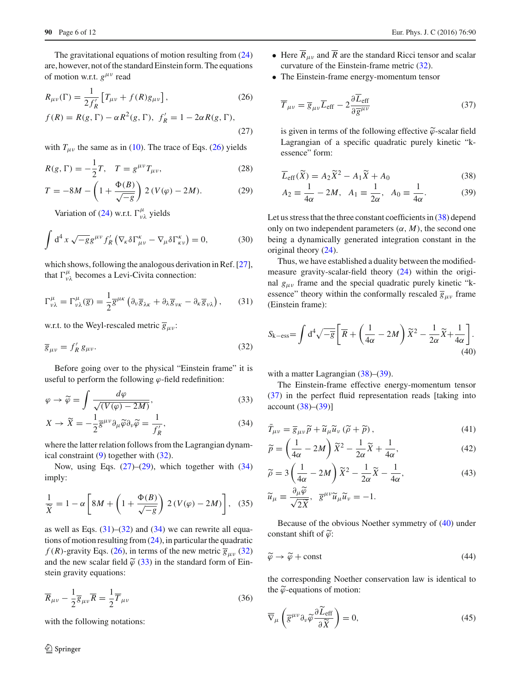The gravitational equations of motion resulting from [\(24\)](#page-4-7) are, however, not of the standard Einstein form. The equations of motion w.r.t.  $g^{\mu\nu}$  read

<span id="page-5-2"></span>
$$
R_{\mu\nu}(\Gamma) = \frac{1}{2f'_R} \left[ T_{\mu\nu} + f(R)g_{\mu\nu} \right],
$$
\n(26)  
\n
$$
f(R) = R(g, \Gamma) - \alpha R^2(g, \Gamma), \ f'_R = 1 - 2\alpha R(g, \Gamma),
$$
\n(27)

with  $T_{\mu\nu}$  the same as in [\(10\)](#page-3-2). The trace of Eqs. [\(26\)](#page-5-2) yields

<span id="page-5-4"></span>
$$
R(g, \Gamma) = -\frac{1}{2}T, \quad T = g^{\mu\nu}T_{\mu\nu}, \tag{28}
$$

$$
T = -8M - \left(1 + \frac{\Phi(B)}{\sqrt{-g}}\right) 2 (V(\varphi) - 2M). \tag{29}
$$

Variation of [\(24\)](#page-4-7) w.r.t.  $\Gamma^{\mu}_{\nu\lambda}$  yields

$$
\int d^4 x \sqrt{-g} g^{\mu\nu} f'_R \left( \nabla_{\kappa} \delta \Gamma^{\kappa}_{\mu\nu} - \nabla_{\mu} \delta \Gamma^{\kappa}_{\kappa\nu} \right) = 0, \tag{30}
$$

which shows, following the analogous derivation in Ref. [\[27](#page-11-11)], that  $\Gamma^{\mu}_{\nu\lambda}$  becomes a Levi-Civita connection:

$$
\Gamma^{\mu}_{\nu\lambda} = \Gamma^{\mu}_{\nu\lambda}(\overline{g}) = \frac{1}{2}\overline{g}^{\mu\kappa} \left( \partial_{\nu}\overline{g}_{\lambda\kappa} + \partial_{\lambda}\overline{g}_{\nu\kappa} - \partial_{\kappa}\overline{g}_{\nu\lambda} \right), \qquad (31)
$$

w.r.t. to the Weyl-rescaled metric  $\overline{g}_{\mu\nu}$ :

$$
\overline{g}_{\mu\nu} = f'_R \, g_{\mu\nu}.\tag{32}
$$

Before going over to the physical "Einstein frame" it is useful to perform the following  $\varphi$ -field redefinition:

<span id="page-5-5"></span>
$$
\varphi \to \widetilde{\varphi} = \int \frac{d\varphi}{\sqrt{(V(\varphi) - 2M)}},\tag{33}
$$

$$
X \to \widetilde{X} = -\frac{1}{2} \overline{g}^{\mu\nu} \partial_{\mu} \widetilde{\varphi} \partial_{\nu} \widetilde{\varphi} = \frac{1}{f'_R},\tag{34}
$$

where the latter relation follows from the Lagrangian dynamical constraint [\(9\)](#page-3-9) together with [\(32\)](#page-5-3).

Now, using Eqs.  $(27)$ – $(29)$ , which together with  $(34)$ imply:

$$
\frac{1}{\widetilde{X}} = 1 - \alpha \left[ 8M + \left( 1 + \frac{\Phi(B)}{\sqrt{-g}} \right) 2 \left( V(\varphi) - 2M \right) \right], \quad (35)
$$

as well as Eqs.  $(31)$ – $(32)$  and  $(34)$  we can rewrite all equations of motion resulting from  $(24)$ , in particular the quadratic  $f(R)$ -gravity Eqs. [\(26\)](#page-5-2), in terms of the new metric  $\overline{g}_{\mu\nu}$  [\(32\)](#page-5-3) and the new scalar field  $\tilde{\varphi}$  [\(33\)](#page-5-5) in the standard form of Einstein gravity equations:

$$
\overline{R}_{\mu\nu} - \frac{1}{2}\overline{g}_{\mu\nu}\overline{R} = \frac{1}{2}\overline{T}_{\mu\nu}
$$
\n(36)

with the following notations:

- Here  $\overline{R}_{\mu\nu}$  and  $\overline{R}$  are the standard Ricci tensor and scalar curvature of the Einstein-frame metric [\(32\)](#page-5-3).
- The Einstein-frame energy-momentum tensor

<span id="page-5-7"></span>
$$
\overline{T}_{\mu\nu} = \overline{g}_{\mu\nu}\overline{L}_{\text{eff}} - 2\frac{\partial \overline{L}_{\text{eff}}}{\partial \overline{g}^{\mu\nu}} \tag{37}
$$

is given in terms of the following effective  $\widetilde{\varphi}$ -scalar field Lagrangian of a specific quadratic purely kinetic "kessence" form:

<span id="page-5-0"></span>
$$
\overline{L}_{\text{eff}}(\widetilde{X}) = A_2 \widetilde{X}^2 - A_1 \widetilde{X} + A_0 \tag{38}
$$

$$
A_2 = \frac{1}{4\alpha} - 2M
$$
,  $A_1 = \frac{1}{2\alpha}$ ,  $A_0 = \frac{1}{4\alpha}$ . (39)

Let us stress that the three constant coefficients in [\(38\)](#page-5-0) depend only on two independent parameters  $(\alpha, M)$ , the second one being a dynamically generated integration constant in the original theory [\(24\)](#page-4-7).

<span id="page-5-6"></span>Thus, we have established a duality between the modifiedmeasure gravity-scalar-field theory [\(24\)](#page-4-7) within the original  $g_{\mu\nu}$  frame and the special quadratic purely kinetic "kessence" theory within the conformally rescaled  $\overline{g}_{\mu\nu}$  frame (Einstein frame):

<span id="page-5-3"></span><span id="page-5-1"></span>
$$
S_{\mathbf{k}-\rm ess} = \int d^4 \sqrt{-\overline{g}} \left[ \overline{R} + \left( \frac{1}{4\alpha} - 2M \right) \widetilde{X}^2 - \frac{1}{2\alpha} \widetilde{X} + \frac{1}{4\alpha} \right].
$$
\n(40)

with a matter Lagrangian [\(38\)](#page-5-0)–[\(39\)](#page-5-0).

The Einstein-frame effective energy-momentum tensor [\(37\)](#page-5-7) in the perfect fluid representation reads [taking into account [\(38\)](#page-5-0)–[\(39\)](#page-5-0)]

<span id="page-5-11"></span>
$$
\bar{T}_{\mu\nu} = \bar{g}_{\mu\nu}\tilde{p} + \tilde{u}_{\mu}\tilde{u}_{\nu}\left(\tilde{\rho} + \tilde{p}\right),\tag{41}
$$

<span id="page-5-8"></span>
$$
\widetilde{p} = \left(\frac{1}{4\alpha} - 2M\right)\widetilde{X}^2 - \frac{1}{2\alpha}\widetilde{X} + \frac{1}{4\alpha},\tag{42}
$$

<span id="page-5-9"></span>
$$
\widetilde{\rho} = 3\left(\frac{1}{4\alpha} - 2M\right)\widetilde{X}^2 - \frac{1}{2\alpha}\widetilde{X} - \frac{1}{4\alpha},\tag{43}
$$

$$
\widetilde{u}_{\mu} \equiv \frac{\partial_{\mu}\widetilde{\varphi}}{\sqrt{2\widetilde{X}}}, \quad \overline{g}^{\mu\nu}\widetilde{u}_{\mu}\widetilde{u}_{\nu} = -1.
$$

<span id="page-5-12"></span>Because of the obvious Noether symmetry of [\(40\)](#page-5-1) under constant shift of  $\tilde{\varphi}$ :

$$
\widetilde{\varphi} \to \widetilde{\varphi} + \text{const} \tag{44}
$$

<span id="page-5-10"></span>the corresponding Noether conservation law is identical to the  $\tilde{\varphi}$ -equations of motion:

$$
\overline{\nabla}_{\mu}\left(\overline{g}^{\mu\nu}\partial_{\nu}\widetilde{\varphi}\frac{\partial \widetilde{L}_{\text{eff}}}{\partial \widetilde{X}}\right) = 0,\tag{45}
$$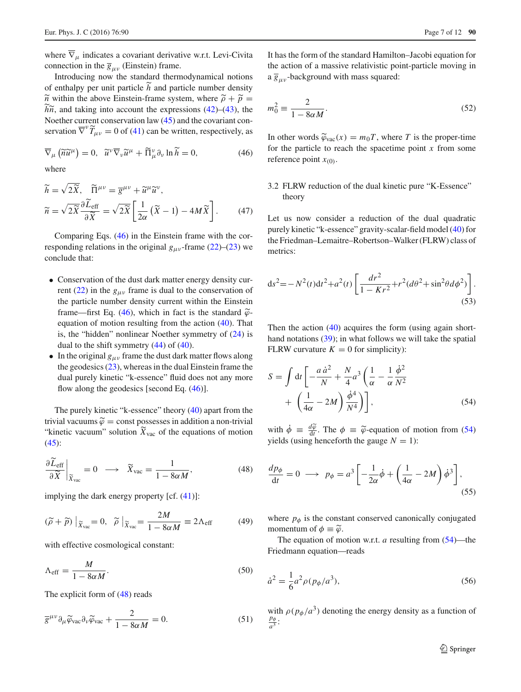where  $\overline{\nabla}_{\mu}$  indicates a covariant derivative w.r.t. Levi-Civita connection in the  $\overline{g}_{\mu\nu}$  (Einstein) frame.

Introducing now the standard thermodynamical notions of enthalpy per unit particle *<sup>h</sup>* and particle number density  $\tilde{n}$  within the above Einstein-frame system, where  $\tilde{\rho} + \tilde{p} =$  $h\tilde{n}$ , and taking into account the expressions [\(42\)](#page-5-8)–[\(43\)](#page-5-9), the Noether current conservation law [\(45\)](#page-5-10) and the covariant conservation  $\overline{\nabla}^{\nu} \widetilde{T}_{\mu\nu} = 0$  of [\(41\)](#page-5-11) can be written, respectively, as

<span id="page-6-0"></span>
$$
\overline{\nabla}_{\mu} (\widetilde{n}\widetilde{u}^{\mu}) = 0, \quad \widetilde{u}^{\nu} \overline{\nabla}_{\nu} \widetilde{u}^{\mu} + \widetilde{\Pi}^{\nu}_{\mu} \partial_{\nu} \ln \widetilde{h} = 0, \tag{46}
$$

where

$$
\widetilde{h} = \sqrt{2\widetilde{X}}, \quad \widetilde{\Pi}^{\mu\nu} = \overline{g}^{\mu\nu} + \widetilde{u}^{\mu}\widetilde{u}^{\nu}, \n\widetilde{n} = \sqrt{2\widetilde{X}} \frac{\partial \widetilde{L}_{\text{eff}}}{\partial \widetilde{X}} = \sqrt{2\widetilde{X}} \left[ \frac{1}{2\alpha} \left( \widetilde{X} - 1 \right) - 4M \widetilde{X} \right].
$$
\n(47)

Comparing Eqs. [\(46\)](#page-6-0) in the Einstein frame with the corresponding relations in the original  $g_{\mu\nu}$ -frame [\(22\)](#page-4-10)–[\(23\)](#page-4-11) we conclude that:

- Conservation of the dust dark matter energy density cur-rent [\(22\)](#page-4-10) in the  $g_{\mu\nu}$  frame is dual to the conservation of the particle number density current within the Einstein frame—first Eq. [\(46\)](#page-6-0), which in fact is the standard  $\tilde{\varphi}$ equation of motion resulting from the action [\(40\)](#page-5-1). That is, the "hidden" nonlinear Noether symmetry of [\(24\)](#page-4-7) is dual to the shift symmetry [\(44\)](#page-5-12) of [\(40\)](#page-5-1).
- In the original  $g_{\mu\nu}$  frame the dust dark matter flows along the geodesics  $(23)$ , whereas in the dual Einstein frame the dual purely kinetic "k-essence" fluid does not any more flow along the geodesics [second Eq. [\(46\)](#page-6-0)].

The purely kinetic "k-essence" theory [\(40\)](#page-5-1) apart from the trivial vacuums  $\tilde{\varphi}$  = const possesses in addition a non-trivial "kinetic vacuum" solution  $\widetilde{X}_{\text{vac}}$  of the equations of motion  $(45)$ :

<span id="page-6-1"></span>
$$
\frac{\partial \widetilde{L}_{\text{eff}}}{\partial \widetilde{X}}\bigg|_{\widetilde{X}_{\text{vac}}} = 0 \quad \longrightarrow \quad \widetilde{X}_{\text{vac}} = \frac{1}{1 - 8\alpha M},\tag{48}
$$

implying the dark energy property [cf. [\(41\)](#page-5-11)]:

$$
(\widetilde{\rho} + \widetilde{p})|_{\widetilde{X}_{\text{vac}}} = 0, \quad \widetilde{\rho}|_{\widetilde{X}_{\text{vac}}} = \frac{2M}{1 - 8\alpha M} \equiv 2\Lambda_{\text{eff}} \tag{49}
$$

with effective cosmological constant:

$$
\Lambda_{\rm eff} = \frac{M}{1 - 8\alpha M}.\tag{50}
$$

The explicit form of [\(48\)](#page-6-1) reads

$$
\overline{g}^{\mu\nu}\partial_{\mu}\widetilde{\varphi}_{\text{vac}}\partial_{\nu}\widetilde{\varphi}_{\text{vac}} + \frac{2}{1 - 8\alpha M} = 0. \tag{51}
$$

<span id="page-6-6"></span>It has the form of the standard Hamilton–Jacobi equation for the action of a massive relativistic point-particle moving in a  $\overline{g}_{\mu\nu}$ -background with mass squared:

$$
m_0^2 \equiv \frac{2}{1 - 8\alpha M}.\tag{52}
$$

In other words  $\widetilde{\varphi}_{\text{vac}}(x) = m_0 T$ , where *T* is the proper-time for the particle to reach the spacetime point *x* from some reference point  $x_{(0)}$ .

3.2 FLRW reduction of the dual kinetic pure "K-Essence" theory

Let us now consider a reduction of the dual quadratic purely kinetic "k-essence" gravity-scalar-field model [\(40\)](#page-5-1) for the Friedman–Lemaitre–Robertson–Walker (FLRW) class of metrics:

<span id="page-6-7"></span>
$$
ds^{2} = -N^{2}(t)dt^{2} + a^{2}(t)\left[\frac{dr^{2}}{1 - Kr^{2}} + r^{2}(d\theta^{2} + \sin^{2}\theta d\phi^{2})\right].
$$
\n(53)

Then the action  $(40)$  acquires the form (using again short-hand notations [\(39\)](#page-5-0); in what follows we will take the spatial FLRW curvature  $K = 0$  for simplicity):

<span id="page-6-2"></span>
$$
S = \int dt \left[ -\frac{a \dot{a}^2}{N} + \frac{N}{4} a^3 \left( \frac{1}{\alpha} - \frac{1}{\alpha} \frac{\dot{\phi}^2}{N^2} + \left( \frac{1}{4\alpha} - 2M \right) \frac{\dot{\phi}^4}{N^4} \right) \right],
$$
 (54)

<span id="page-6-3"></span>with  $\dot{\phi} \equiv \frac{d\tilde{\phi}}{dt}$ . The  $\phi \equiv \tilde{\phi}$ -equation of motion from [\(54\)](#page-6-2) yields (using henceforth the gauge  $N = 1$ ):

$$
\frac{dp_{\phi}}{dt} = 0 \longrightarrow p_{\phi} = a^3 \left[ -\frac{1}{2\alpha} \dot{\phi} + \left( \frac{1}{4\alpha} - 2M \right) \dot{\phi}^3 \right],
$$
\n(55)

where  $p_{\phi}$  is the constant conserved canonically conjugated momentum of  $\phi \equiv \tilde{\varphi}$ .

<span id="page-6-5"></span><span id="page-6-4"></span>The equation of motion w.r.t. *a* resulting from [\(54\)](#page-6-2)—the Friedmann equation—reads

$$
\dot{a}^2 = \frac{1}{6}a^2 \rho (p_\phi/a^3),\tag{56}
$$

with  $\rho(p_{\phi}/a^3)$  denoting the energy density as a function of  $\frac{p_{\phi}}{a^3}$ :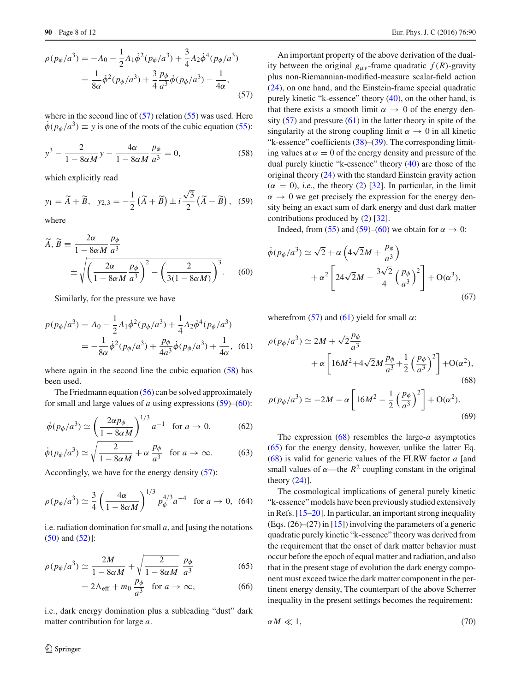$$
\rho(p_{\phi}/a^3) = -A_0 - \frac{1}{2}A_1\dot{\phi}^2(p_{\phi}/a^3) + \frac{3}{4}A_2\dot{\phi}^4(p_{\phi}/a^3)
$$

$$
= \frac{1}{8\alpha}\dot{\phi}^2(p_{\phi}/a^3) + \frac{3}{4}\frac{p_{\phi}}{a^3}\dot{\phi}(p_{\phi}/a^3) - \frac{1}{4\alpha},
$$
(57)

where in the second line of  $(57)$  relation  $(55)$  was used. Here  $\dot{\phi}(p_{\phi}/a^3) \equiv y$  is one of the roots of the cubic equation [\(55\)](#page-6-3):

$$
y^3 - \frac{2}{1 - 8\alpha M}y - \frac{4\alpha}{1 - 8\alpha M} \frac{p_\phi}{a^3} = 0,\tag{58}
$$

which explicitly read

<span id="page-7-2"></span>
$$
y_1 = \widetilde{A} + \widetilde{B}, \quad y_{2,3} = -\frac{1}{2} \left( \widetilde{A} + \widetilde{B} \right) \pm i \frac{\sqrt{3}}{2} \left( \widetilde{A} - \widetilde{B} \right), \quad (59)
$$

where

$$
\widetilde{A}, \widetilde{B} \equiv \frac{2\alpha}{1 - 8\alpha M} \frac{p_{\phi}}{a^3}
$$

$$
\pm \sqrt{\left(\frac{2\alpha}{1 - 8\alpha M} \frac{p_{\phi}}{a^3}\right)^2 - \left(\frac{2}{3(1 - 8\alpha M)}\right)^3}.
$$
(60)

Similarly, for the pressure we have

$$
p(p_{\phi}/a^3) = A_0 - \frac{1}{2}A_1\dot{\phi}^2(p_{\phi}/a^3) + \frac{1}{4}A_2\dot{\phi}^4(p_{\phi}/a^3)
$$
  
= 
$$
-\frac{1}{8\alpha}\dot{\phi}^2(p_{\phi}/a^3) + \frac{p_{\phi}}{4a^3}\dot{\phi}(p_{\phi}/a^3) + \frac{1}{4\alpha},
$$
 (61)

where again in the second line the cubic equation  $(58)$  has been used.

The Friedmann equation  $(56)$  can be solved approximately for small and large values of *a* using expressions [\(59\)](#page-7-2)–[\(60\)](#page-7-3):

$$
\dot{\phi}(p_{\phi}/a^3) \simeq \left(\frac{2\alpha p_{\phi}}{1 - 8\alpha M}\right)^{1/3} a^{-1} \quad \text{for } a \to 0,
$$
 (62)

$$
\dot{\phi}(p_{\phi}/a^3) \simeq \sqrt{\frac{2}{1 - 8\alpha M}} + \alpha \frac{p_{\phi}}{a^3} \quad \text{for } a \to \infty. \tag{63}
$$

Accordingly, we have for the energy density [\(57\)](#page-7-0):

$$
\rho(p_{\phi}/a^3) \simeq \frac{3}{4} \left( \frac{4\alpha}{1 - 8\alpha M} \right)^{1/3} p_{\phi}^{4/3} a^{-4} \text{ for } a \to 0, \text{ (64)}
$$

i.e. radiation domination for small  $a$ , and [using the notations [\(50\)](#page-6-5) and [\(52\)](#page-6-6)]:

$$
\rho(p_{\phi}/a^3) \simeq \frac{2M}{1 - 8\alpha M} + \sqrt{\frac{2}{1 - 8\alpha M}} \frac{p_{\phi}}{a^3}
$$
(65)

$$
=2\Lambda_{\rm eff}+m_0\frac{p_\phi}{a^3}\quad\text{for }a\to\infty,
$$
 (66)

i.e., dark energy domination plus a subleading "dust" dark matter contribution for large *a*.

<span id="page-7-1"></span><span id="page-7-0"></span>An important property of the above derivation of the duality between the original  $g_{\mu\nu}$ -frame quadratic  $f(R)$ -gravity plus non-Riemannian-modified-measure scalar-field action [\(24\)](#page-4-7), on one hand, and the Einstein-frame special quadratic purely kinetic "k-essence" theory [\(40\)](#page-5-1), on the other hand, is that there exists a smooth limit  $\alpha \rightarrow 0$  of the energy density [\(57\)](#page-7-0) and pressure [\(61\)](#page-7-4) in the latter theory in spite of the singularity at the strong coupling limit  $\alpha \rightarrow 0$  in all kinetic "k-essence" coefficients  $(38)$ – $(39)$ . The corresponding limiting values at  $\alpha = 0$  of the energy density and pressure of the dual purely kinetic "k-essence" theory [\(40\)](#page-5-1) are those of the original theory [\(24\)](#page-4-7) with the standard Einstein gravity action  $(\alpha = 0)$ , *i.e.*, the theory [\(2\)](#page-2-2) [\[32](#page-11-3)]. In particular, in the limit  $\alpha \rightarrow 0$  we get precisely the expression for the energy density being an exact sum of dark energy and dust dark matter contributions produced by [\(2\)](#page-2-2) [\[32](#page-11-3)].

Indeed, from [\(55\)](#page-6-3) and [\(59\)](#page-7-2)–[\(60\)](#page-7-3) we obtain for  $\alpha \to 0$ :

<span id="page-7-3"></span>
$$
\dot{\phi}(p_{\phi}/a^3) \simeq \sqrt{2} + \alpha \left(4\sqrt{2}M + \frac{p_{\phi}}{a^3}\right) \n+ \alpha^2 \left[24\sqrt{2}M - \frac{3\sqrt{2}}{4}\left(\frac{p_{\phi}}{a^3}\right)^2\right] + O(\alpha^3),
$$
\n(67)

wherefrom [\(57\)](#page-7-0) and [\(61\)](#page-7-4) yield for small  $\alpha$ :

<span id="page-7-4"></span>
$$
\rho(p_{\phi}/a^3) \simeq 2M + \sqrt{2}\frac{p_{\phi}}{a^3}
$$

$$
+ \alpha \left[ 16M^2 + 4\sqrt{2}M\frac{p_{\phi}}{a^3} + \frac{1}{2}\left(\frac{p_{\phi}}{a^3}\right)^2 \right] + O(\alpha^2), \tag{68}
$$

<span id="page-7-7"></span><span id="page-7-5"></span>
$$
p(p_{\phi}/a^3) \simeq -2M - \alpha \left[ 16M^2 - \frac{1}{2} \left( \frac{p_{\phi}}{a^3} \right)^2 \right] + \mathcal{O}(\alpha^2). \tag{69}
$$

The expression [\(68\)](#page-7-5) resembles the large-*a* asymptotics [\(65\)](#page-7-6) for the energy density, however, unlike the latter Eq. [\(68\)](#page-7-5) is valid for generic values of the FLRW factor *a* [and small values of  $\alpha$ —the  $R^2$  coupling constant in the original theory [\(24\)](#page-4-7)].

<span id="page-7-8"></span>The cosmological implications of general purely kinetic "k-essence" models have been previously studied extensively in Refs. [\[15](#page-10-8)[–20](#page-10-10)]. In particular, an important strong inequality (Eqs. (26)–(27) in [\[15](#page-10-8)]) involving the parameters of a generic quadratic purely kinetic "k-essence" theory was derived from the requirement that the onset of dark matter behavior must occur before the epoch of equal matter and radiation, and also that in the present stage of evolution the dark energy component must exceed twice the dark matter component in the pertinent energy density, The counterpart of the above Scherrer inequality in the present settings becomes the requirement:

<span id="page-7-9"></span><span id="page-7-6"></span>
$$
\alpha M \ll 1,\tag{70}
$$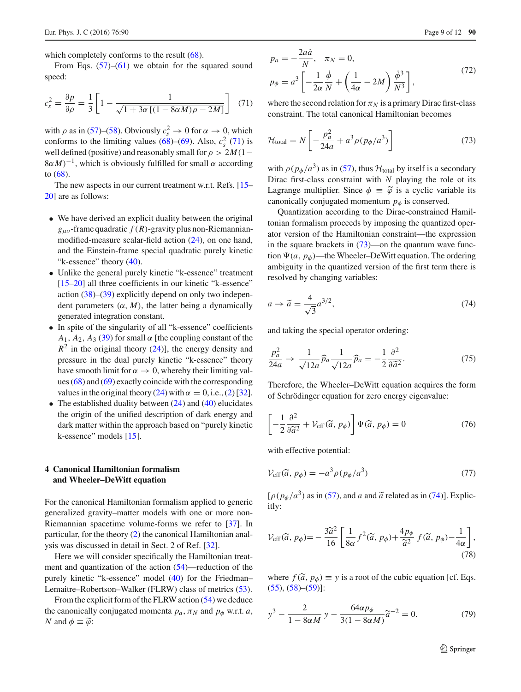which completely conforms to the result [\(68\)](#page-7-5).

<span id="page-8-1"></span>From Eqs.  $(57)$ – $(61)$  we obtain for the squared sound speed:

$$
c_s^2 = \frac{\partial p}{\partial \rho} = \frac{1}{3} \left[ 1 - \frac{1}{\sqrt{1 + 3\alpha \left[ (1 - 8\alpha M)\rho - 2M \right]}} \right] \tag{71}
$$

with  $\rho$  as in [\(57\)](#page-7-0)–[\(58\)](#page-7-1). Obviously  $c_s^2 \to 0$  for  $\alpha \to 0$ , which conforms to the limiting values  $(68)$ – $(69)$ . Also,  $c_s^2$  [\(71\)](#page-8-1) is well defined (positive) and reasonably small for  $\rho > 2M(1-\rho)$  $8\alpha M$ <sup>-1</sup>, which is obviously fulfilled for small  $\alpha$  according to [\(68\)](#page-7-5).

The new aspects in our current treatment w.r.t. Refs. [\[15](#page-10-8)– [20\]](#page-10-10) are as follows:

- We have derived an explicit duality between the original  $g_{\mu\nu}$ -frame quadratic  $f(R)$ -gravity plus non-Riemannianmodified-measure scalar-field action [\(24\)](#page-4-7), on one hand, and the Einstein-frame special quadratic purely kinetic "k-essence" theory [\(40\)](#page-5-1).
- Unlike the general purely kinetic "k-essence" treatment [\[15](#page-10-8)[–20](#page-10-10)] all three coefficients in our kinetic "k-essence" action  $(38)$ – $(39)$  explicitly depend on only two independent parameters  $(\alpha, M)$ , the latter being a dynamically generated integration constant.
- In spite of the singularity of all "k-essence" coefficients  $A_1$ ,  $A_2$ ,  $A_3$  [\(39\)](#page-5-0) for small  $\alpha$  [the coupling constant of the  $R<sup>2</sup>$  in the original theory [\(24\)](#page-4-7)], the energy density and pressure in the dual purely kinetic "k-essence" theory have smooth limit for  $\alpha \to 0$ , whereby their limiting values [\(68\)](#page-7-5) and [\(69\)](#page-7-7) exactly coincide with the corresponding values in the original theory [\(24\)](#page-4-7) with  $\alpha = 0$ , i.e., [\(2\)](#page-2-2) [\[32](#page-11-3)].
- The established duality between  $(24)$  and  $(40)$  elucidates the origin of the unified description of dark energy and dark matter within the approach based on "purely kinetic k-essence" models [\[15](#page-10-8)].

## <span id="page-8-0"></span>**4 Canonical Hamiltonian formalism and Wheeler–DeWitt equation**

For the canonical Hamiltonian formalism applied to generic generalized gravity–matter models with one or more non-Riemannian spacetime volume-forms we refer to [\[37\]](#page-11-8). In particular, for the theory [\(2\)](#page-2-2) the canonical Hamiltonian analysis was discussed in detail in Sect. 2 of Ref. [\[32\]](#page-11-3).

Here we will consider specifically the Hamiltonian treatment and quantization of the action [\(54\)](#page-6-2)—reduction of the purely kinetic "k-essence" model [\(40\)](#page-5-1) for the Friedman– Lemaitre–Robertson–Walker (FLRW) class of metrics [\(53\)](#page-6-7).

From the explicit form of the FLRW action [\(54\)](#page-6-2) we deduce the canonically conjugated momenta  $p_a$ ,  $\pi_N$  and  $p_\phi$  w.r.t. *a*, *N* and  $\phi \equiv \tilde{\varphi}$ :

$$
p_a = -\frac{2a\dot{a}}{N}, \quad \pi_N = 0,
$$
  
\n
$$
p_{\phi} = a^3 \left[ -\frac{1}{2\alpha} \frac{\dot{\phi}}{N} + \left( \frac{1}{4\alpha} - 2M \right) \frac{\dot{\phi}^3}{N^3} \right],
$$
\n(72)

where the second relation for  $\pi_N$  is a primary Dirac first-class constraint. The total canonical Hamiltonian becomes

<span id="page-8-2"></span>
$$
\mathcal{H}_{\text{total}} = N \left[ -\frac{p_a^2}{24a} + a^3 \rho (p_\phi/a^3) \right] \tag{73}
$$

with  $\rho(p_{\phi}/a^3)$  as in [\(57\)](#page-7-0), thus  $\mathcal{H}_{total}$  by itself is a secondary Dirac first-class constraint with *N* playing the role ot its Lagrange multiplier. Since  $\phi = \tilde{\varphi}$  is a cyclic variable its canonically conjugated momentum  $p_{\phi}$  is conserved.

Quantization according to the Dirac-constrained Hamiltonian formalism proceeds by imposing the quantized operator version of the Hamiltonian constraint—the expression in the square brackets in  $(73)$ —on the quantum wave function  $\Psi(a, p_{\phi})$ —the Wheeler–DeWitt equation. The ordering ambiguity in the quantized version of the first term there is resolved by changing variables:

<span id="page-8-3"></span>
$$
a \to \tilde{a} = \frac{4}{\sqrt{3}} a^{3/2},\tag{74}
$$

and taking the special operator ordering:

<span id="page-8-8"></span>
$$
\frac{p_a^2}{24a} \to \frac{1}{\sqrt{12a}} \widehat{p}_a \frac{1}{\sqrt{12a}} \widehat{p}_a = -\frac{1}{2} \frac{\partial^2}{\partial \widetilde{a}^2}.
$$
 (75)

Therefore, the Wheeler–DeWitt equation acquires the form of Schrödinger equation for zero energy eigenvalue:

<span id="page-8-7"></span>
$$
\left[-\frac{1}{2}\frac{\partial^2}{\partial \widetilde{a}^2} + \mathcal{V}_{\text{eff}}(\widetilde{a}, p_{\phi})\right]\Psi(\widetilde{a}, p_{\phi}) = 0\tag{76}
$$

<span id="page-8-6"></span>with effective potential:

$$
\mathcal{V}_{\rm eff}(\tilde{a}, p_{\phi}) = -a^3 \rho (p_{\phi}/a^3)
$$
\n(77)

<span id="page-8-5"></span> $[\rho(p_{\phi}/a^3)$  as in [\(57\)](#page-7-0), and *a* and  $\tilde{a}$  related as in [\(74\)](#page-8-3)]. Explicitly:

$$
\mathcal{V}_{\rm eff}(\tilde{a}, p_{\phi}) = -\frac{3\tilde{a}^2}{16} \left[ \frac{1}{8\alpha} f^2(\tilde{a}, p_{\phi}) + \frac{4p_{\phi}}{\tilde{a}^2} f(\tilde{a}, p_{\phi}) - \frac{1}{4\alpha} \right],
$$
\n(78)

<span id="page-8-4"></span>where  $f(\tilde{a}, p_{\phi}) \equiv y$  is a root of the cubic equation [cf. Eqs.  $(55), (58)$  $(55), (58)$  $(55), (58)$ – $(59)$ ]:

$$
y^{3} - \frac{2}{1 - 8\alpha M} y - \frac{64\alpha p_{\phi}}{3(1 - 8\alpha M)} \tilde{a}^{-2} = 0.
$$
 (79)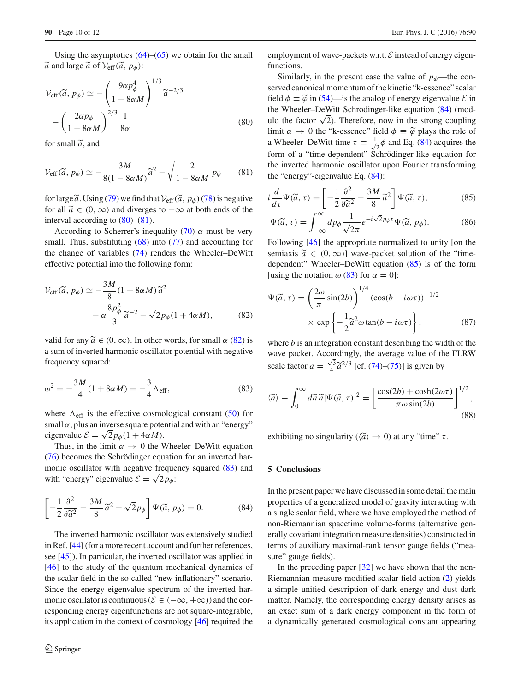Using the asymptotics  $(64)$ – $(65)$  we obtain for the small  $\widetilde{a}$  and large  $\widetilde{a}$  of  $\mathcal{V}_{\text{eff}}(\widetilde{a}, p_{\phi})$ :

<span id="page-9-0"></span>
$$
\mathcal{V}_{\text{eff}}(\tilde{a}, p_{\phi}) \simeq -\left(\frac{9\alpha p_{\phi}^4}{1 - 8\alpha M}\right)^{1/3} \tilde{a}^{-2/3}
$$

$$
-\left(\frac{2\alpha p_{\phi}}{1 - 8\alpha M}\right)^{2/3} \frac{1}{8\alpha} \tag{80}
$$

<span id="page-9-1"></span>for small  $\tilde{a}$ , and

$$
\mathcal{V}_{\rm eff}(\widetilde{a}, p_{\phi}) \simeq -\frac{3M}{8(1 - 8\alpha M)}\widetilde{a}^2 - \sqrt{\frac{2}{1 - 8\alpha M}} p_{\phi} \qquad (81)
$$

for large  $\tilde{a}$ . Using [\(79\)](#page-8-4) we find that  $V_{\text{eff}}(\tilde{a}, p_{\phi})$  [\(78\)](#page-8-5) is negative for all  $\tilde{a} \in (0, \infty)$  and diverges to  $-\infty$  at both ends of the interval according to [\(80\)](#page-9-0)–[\(81\)](#page-9-1).

According to Scherrer's inequality [\(70\)](#page-7-9)  $\alpha$  must be very small. Thus, substituting  $(68)$  into  $(77)$  and accounting for the change of variables [\(74\)](#page-8-3) renders the Wheeler–DeWitt effective potential into the following form:

$$
\mathcal{V}_{\text{eff}}(\tilde{a}, p_{\phi}) \simeq -\frac{3M}{8} (1 + 8\alpha M) \tilde{a}^{2}
$$

$$
-\alpha \frac{8p_{\phi}^{2}}{3} \tilde{a}^{-2} - \sqrt{2}p_{\phi}(1 + 4\alpha M), \qquad (82)
$$

valid for any  $\tilde{a} \in (0, \infty)$ . In other words, for small  $\alpha$  [\(82\)](#page-9-2) is a sum of inverted harmonic oscillator potential with negative frequency squared:

<span id="page-9-3"></span>
$$
\omega^2 = -\frac{3M}{4}(1 + 8\alpha M) = -\frac{3}{4}\Lambda_{\text{eff}},
$$
\n(83)

where  $\Lambda_{\text{eff}}$  is the effective cosmological constant [\(50\)](#page-6-5) for small  $\alpha$ , plus an inverse square potential and with an "energy" eigenvalue  $\mathcal{E} = \sqrt{2p_{\phi}(1 + 4\alpha M)}$ .

Thus, in the limit  $\alpha \rightarrow 0$  the Wheeler–DeWitt equation [\(76\)](#page-8-7) becomes the Schrödinger equation for an inverted harmonic oscillator with negative frequency squared [\(83\)](#page-9-3) and with "energy" eigenvalue  $\mathcal{E} = \sqrt{2} p_{\phi}$ :

$$
\left[-\frac{1}{2}\frac{\partial^2}{\partial \widetilde{a}^2} - \frac{3M}{8}\widetilde{a}^2 - \sqrt{2}p_\phi\right]\Psi(\widetilde{a}, p_\phi) = 0.
$$
 (84)

The inverted harmonic oscillator was extensively studied in Ref. [\[44](#page-11-15)] (for a more recent account and further references, see [\[45](#page-11-16)]). In particular, the inverted oscillator was applied in [\[46](#page-11-17)] to the study of the quantum mechanical dynamics of the scalar field in the so called "new inflationary" scenario. Since the energy eigenvalue spectrum of the inverted harmonic oscillator is continuous ( $\mathcal{E} \in (-\infty, +\infty)$ ) and the corresponding energy eigenfunctions are not square-integrable, its application in the context of cosmology [\[46\]](#page-11-17) required the

employment of wave-packets w.r.t. *E* instead of energy eigenfunctions.

Similarly, in the present case the value of  $p_{\phi}$ —the conserved canonical momentum of the kinetic "k-essence" scalar field  $\phi \equiv \tilde{\varphi}$  in [\(54\)](#page-6-2)—is the analog of energy eigenvalue  $\mathcal E$  in the Wheeler–DeWitt Schrödinger-like equation [\(84\)](#page-9-4) (modulo the factor  $\sqrt{2}$ ). Therefore, now in the strong coupling limit  $\alpha \to 0$  the "k-essence" field  $\phi \equiv \tilde{\varphi}$  plays the role of a Wheeler–DeWitt time  $\tau \equiv \frac{1}{\sqrt{2}}$  $\frac{1}{2}\phi$  and Eq. [\(84\)](#page-9-4) acquires the form of a "time-dependent" Schrödinger-like equation for the inverted harmonic oscillator upon Fourier transforming the "energy"-eigenvalue Eq. [\(84\)](#page-9-4):

<span id="page-9-5"></span>
$$
i\frac{d}{d\tau}\Psi(\tilde{a},\tau) = \left[-\frac{1}{2}\frac{\partial^2}{\partial \tilde{a}^2} - \frac{3M}{8}\tilde{a}^2\right]\Psi(\tilde{a},\tau),\tag{85}
$$

$$
\Psi(\tilde{a}, \tau) = \int_{-\infty}^{\infty} dp_{\phi} \frac{1}{\sqrt{2\pi}} e^{-i\sqrt{2}p_{\phi}\tau} \Psi(\tilde{a}, p_{\phi}).
$$
\n(86)

Following [\[46](#page-11-17)] the appropriate normalized to unity [on the semiaxis  $\tilde{a} \in (0, \infty)$ ] wave-packet solution of the "timedependent" Wheeler–DeWitt equation [\(85\)](#page-9-5) is of the form [using the notation  $\omega$  [\(83\)](#page-9-3) for  $\alpha = 0$ ]:

<span id="page-9-2"></span>
$$
\Psi(\tilde{a}, \tau) = \left(\frac{2\omega}{\pi} \sin(2b)\right)^{1/4} \left(\cos(b - i\omega\tau)\right)^{-1/2}
$$

$$
\times \exp\left\{-\frac{1}{2}\tilde{a}^2\omega\tan(b - i\omega\tau)\right\},\tag{87}
$$

where *b* is an integration constant describing the width of the wave packet. Accordingly, the average value of the FLRW scale factor  $a = \frac{\sqrt{3}}{4} \tilde{a}^{2/3}$  [cf. [\(74\)](#page-8-3)–[\(75\)](#page-8-8)] is given by

$$
\langle \widetilde{a} \rangle \equiv \int_0^\infty d\widetilde{a} \, \widetilde{a} |\Psi(\widetilde{a}, \tau)|^2 = \left[ \frac{\cos(2b) + \cosh(2\omega\tau)}{\pi \omega \sin(2b)} \right]^{1/2},\tag{88}
$$

exhibiting no singularity ( $\langle \tilde{a} \rangle \rightarrow 0$ ) at any "time"  $\tau$ .

## <span id="page-9-4"></span>**5 Conclusions**

In the present paper we have discussed in some detail the main properties of a generalized model of gravity interacting with a single scalar field, where we have employed the method of non-Riemannian spacetime volume-forms (alternative generally covariant integration measure densities) constructed in terms of auxiliary maximal-rank tensor gauge fields ("measure" gauge fields).

In the preceding paper  $[32]$  $[32]$  we have shown that the non-Riemannian-measure-modified scalar-field action [\(2\)](#page-2-2) yields a simple unified description of dark energy and dust dark matter. Namely, the corresponding energy density arises as an exact sum of a dark energy component in the form of a dynamically generated cosmological constant appearing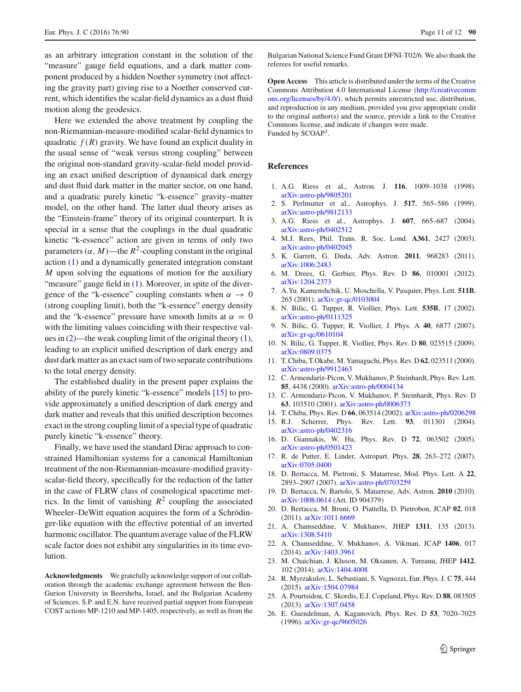as an arbitrary integration constant in the solution of the "measure" gauge field equations, and a dark matter component produced by a hidden Noether symmetry (not affecting the gravity part) giving rise to a Noether conserved current, which identifies the scalar-field dynamics as a dust fluid motion along the geodesics.

Here we extended the above treatment by coupling the non-Riemannian-measure-modified scalar-field dynamics to quadratic  $f(R)$  gravity. We have found an explicit duality in the usual sense of "weak versus strong coupling" between the original non-standard gravity-scalar-field model providing an exact unified description of dynamical dark energy and dust fluid dark matter in the matter sector, on one hand, and a quadratic purely kinetic "k-essence" gravity–matter model, on the other hand. The latter dual theory arises as the "Einstein-frame" theory of its original counterpart. It is special in a sense that the couplings in the dual quadratic kinetic "k-essence" action are given in terms of only two parameters  $(\alpha, M)$ —the  $R^2$ -coupling constant in the original action [\(1\)](#page-2-1) and a dynamically generated integration constant *M* upon solving the equations of motion for the auxiliary "measure" gauge field in  $(1)$ . Moreover, in spite of the divergence of the "k-essence" coupling constants when  $\alpha \to 0$ (strong coupling limit), both the "k-essence" energy density and the "k-essence" pressure have smooth limits at  $\alpha = 0$ with the limiting values coinciding with their respective values in [\(2\)](#page-2-2)—the weak coupling limit of the original theory [\(1\)](#page-2-1), leading to an explicit unified description of dark energy and dust dark matter as an exact sum of two separate contributions to the total energy density.

The established duality in the present paper explains the ability of the purely kinetic "k-essence" models [\[15\]](#page-10-8) to provide approximately a unified description of dark energy and dark matter and reveals that this unified description becomes exact in the strong coupling limit of a special type of quadratic purely kinetic "k-essence" theory.

Finally, we have used the standard Dirac approach to constrained Hamiltonian systems for a canonical Hamiltonian treatment of the non-Riemannian-measure-modified gravityscalar-field theory, specifically for the reduction of the latter in the case of FLRW class of cosmological spacetime metrics. In the limit of vanishing  $R^2$  coupling the associated Wheeler–DeWitt equation acquires the form of a Schrödinger-like equation with the effective potential of an inverted harmonic oscillator. The quantum average value of the FLRW scale factor does not exhibit any singularities in its time evolution.

**Acknowledgments** We gratefully acknowledge support of our collaboration through the academic exchange agreement between the Ben-Gurion University in Beersheba, Israel, and the Bulgarian Academy of Sciences. S.P. and E.N. have received partial support from European COST actions MP-1210 and MP-1405, respectively, as well as from the

Bulgarian National Science Fund Grant DFNI-T02/6. We also thank the referees for useful remarks.

**Open Access** This article is distributed under the terms of the Creative Commons Attribution 4.0 International License [\(http://creativecomm](http://creativecommons.org/licenses/by/4.0/) [ons.org/licenses/by/4.0/\)](http://creativecommons.org/licenses/by/4.0/), which permits unrestricted use, distribution, and reproduction in any medium, provided you give appropriate credit to the original author(s) and the source, provide a link to the Creative Commons license, and indicate if changes were made. Funded by SCOAP<sup>3</sup>.

### **References**

- <span id="page-10-0"></span>1. A.G. Riess et al., Astron. J. **116**, 1009–1038 (1998). [arXiv:astro-ph/9805201](http://arxiv.org/abs/astro-ph/9805201)
- 2. S. Perlmutter et al., Astrophys. J. **517**, 565–586 (1999). [arXiv:astro-ph/9812133](http://arxiv.org/abs/astro-ph/9812133)
- <span id="page-10-1"></span>3. A.G. Riess et al., Astrophys. J. **607**, 665–687 (2004). [arXiv:astro-ph/0402512](http://arxiv.org/abs/astro-ph/0402512)
- <span id="page-10-2"></span>4. M.J. Rees, Phil. Trans. R. Soc. Lond. **A361**, 2427 (2003). [arXiv:astro-ph/0402045](http://arxiv.org/abs/astro-ph/0402045)
- 5. K. Garrett, G. Duda, Adv. Astron. **2011**, 968283 (2011). [arXiv:1006.2483](http://arxiv.org/abs/1006.2483)
- <span id="page-10-3"></span>6. M. Drees, G. Gerbier, Phys. Rev. D **86**, 010001 (2012). [arXiv:1204.2373](http://arxiv.org/abs/1204.2373)
- <span id="page-10-4"></span>7. A.Yu. Kamenshchik, U. Moschella, V. Pasquier, Phys. Lett. **511B**, 265 (2001). [arXiv:gr-qc/0103004](http://arxiv.org/abs/gr-qc/0103004)
- 8. N. Bilic, G. Tupper, R. Viollier, Phys. Lett. **535B**, 17 (2002). [arXiv:astro-ph/0111325](http://arxiv.org/abs/astro-ph/0111325)
- 9. N. Bilic, G. Tupper, R. Viollier, J. Phys. A **40**, 6877 (2007). [arXiv:gr-qc/0610104](http://arxiv.org/abs/gr-qc/0610104)
- <span id="page-10-5"></span>10. N. Bilic, G. Tupper, R. Viollier, Phys. Rev. D **80**, 023515 (2009). [arXiv:0809.0375](http://arxiv.org/abs/0809.0375)
- <span id="page-10-6"></span>11. T. Chiba, T.Okabe, M. Yamaguchi, Phys. Rev. D **62**, 023511 (2000). [arXiv:astro-ph/9912463](http://arxiv.org/abs/astro-ph/9912463)
- 12. C. Armendariz-Picon, V. Mukhanov, P. Steinhardt, Phys. Rev. Lett. **85**, 4438 (2000). [arXiv:astro-ph/0004134](http://arxiv.org/abs/astro-ph/0004134)
- 13. C. Armendariz-Picon, V. Mukhanov, P. Steinhardt, Phys. Rev. D **63**, 103510 (2001). [arXiv:astro-ph/0006373](http://arxiv.org/abs/astro-ph/0006373)
- <span id="page-10-7"></span>14. T. Chiba, Phys. Rev. D **66**, 063514 (2002). [arXiv:astro-ph/0206298](http://arxiv.org/abs/astro-ph/0206298)
- <span id="page-10-8"></span>15. R.J. Scherrer, Phys. Rev. Lett. **93**, 011301 (2004). [arXiv:astro-ph/0402316](http://arxiv.org/abs/astro-ph/0402316)
- <span id="page-10-9"></span>16. D. Giannakis, W. Hu, Phys. Rev. D **72**, 063502 (2005). [arXiv:astro-ph/0501423](http://arxiv.org/abs/astro-ph/0501423)
- 17. R. de Putter, E. Linder, Astropart. Phys. **28**, 263–272 (2007). [arXiv:0705.0400](http://arxiv.org/abs/0705.0400)
- 18. D. Bertacca, M. Pietroni, S. Matarrese, Mod. Phys. Lett. A **22**, 2893–2907 (2007). [arXiv:astro-ph/0703259](http://arxiv.org/abs/astro-ph/0703259)
- 19. D. Bertacca, N. Bartolo, S. Matarrese, Adv. Astron. **2010** (2010). [arXiv:1008.0614](http://arxiv.org/abs/1008.0614) (Art. ID 904379)
- <span id="page-10-10"></span>20. D. Bertacca, M. Bruni, O. Piattella, D. Pietrobon, JCAP **02**, 018 (2011). [arXiv:1011.6669](http://arxiv.org/abs/1011.6669)
- <span id="page-10-11"></span>21. A. Chamseddine, V. Mukhanov, JHEP **1311**, 135 (2013). [arXiv:1308.5410](http://arxiv.org/abs/1308.5410)
- <span id="page-10-12"></span>22. A. Chamseddine, V. Mukhanov, A. Vikman, JCAP **1406**, 017 (2014). [arXiv:1403.3961](http://arxiv.org/abs/1403.3961)
- <span id="page-10-13"></span>23. M. Chaichian, J. Kluson, M. Oksanen, A. Tureanu, JHEP **1412**, 102 (2014). [arXiv:1404.4008](http://arxiv.org/abs/1404.4008)
- <span id="page-10-14"></span>24. R. Myrzakulov, L. Sebastiani, S. Vagnozzi, Eur. Phys. J. C **75**, 444 (2015). [arXiv:1504.07984](http://arxiv.org/abs/1504.07984)
- <span id="page-10-15"></span>25. A. Pourtsidou, C. Skordis, E.J. Copeland, Phys. Rev. D **88**, 083505 (2013). [arXiv:1307.0458](http://arxiv.org/abs/1307.0458)
- <span id="page-10-16"></span>26. E. Guendelman, A. Kaganovich, Phys. Rev. D **53**, 7020–7025 (1996). [arXiv:gr-qc/9605026](http://arxiv.org/abs/gr-qc/9605026)